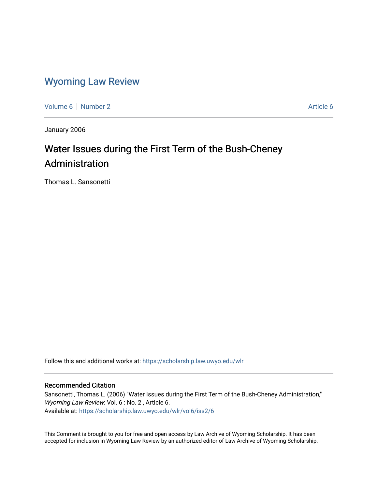### [Wyoming Law Review](https://scholarship.law.uwyo.edu/wlr)

[Volume 6](https://scholarship.law.uwyo.edu/wlr/vol6) | [Number 2](https://scholarship.law.uwyo.edu/wlr/vol6/iss2) Article 6

January 2006

## Water Issues during the First Term of the Bush-Cheney Administration

Thomas L. Sansonetti

Follow this and additional works at: [https://scholarship.law.uwyo.edu/wlr](https://scholarship.law.uwyo.edu/wlr?utm_source=scholarship.law.uwyo.edu%2Fwlr%2Fvol6%2Fiss2%2F6&utm_medium=PDF&utm_campaign=PDFCoverPages) 

#### Recommended Citation

Sansonetti, Thomas L. (2006) "Water Issues during the First Term of the Bush-Cheney Administration," Wyoming Law Review: Vol. 6 : No. 2, Article 6. Available at: [https://scholarship.law.uwyo.edu/wlr/vol6/iss2/6](https://scholarship.law.uwyo.edu/wlr/vol6/iss2/6?utm_source=scholarship.law.uwyo.edu%2Fwlr%2Fvol6%2Fiss2%2F6&utm_medium=PDF&utm_campaign=PDFCoverPages) 

This Comment is brought to you for free and open access by Law Archive of Wyoming Scholarship. It has been accepted for inclusion in Wyoming Law Review by an authorized editor of Law Archive of Wyoming Scholarship.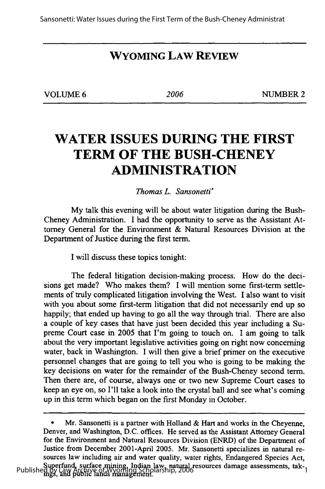#### **WYOMING LAW REVIEW**

| VOLUME 6 |  |
|----------|--|
|----------|--|

**VOLUME 6** *2006* **NUMBER 2**

## **WATER ISSUES DURING THE FIRST TERM OF THE BUSH-CHENEY ADMINISTRATION**

#### *Thomas L. Sansonetti°*

**My** talk this evening will be about water litigation during the Bush-Cheney Administration. **I** had the opportunity to serve as the Assistant Attorney General for the Environment **&** Natural Resources Division at the Department of Justice during the first term.

**I** will discuss these topics tonight:

The federal litigation decision-making process. How do the decisions get made? Who makes them? **I** will mention some first-term settlements of truly complicated litigation involving the West. I also want to visit with you about some first-term litigation that did not necessarily end up so happily; that ended up having to go all the way through trial. There are also a couple of key cases that have just been decided this year including a Supreme Court case in **2005** that I'm going to touch on. I am going to talk about the very important legislative activities going on right now concerning water, back in Washington. **I** will then give a brief primer on the executive personnel changes that are going to tell you who is going to be making the key decisions on water for the remainder of the Bush-Cheney second term. Then there are, of course, always one or two new Supreme Court cases to keep an eye on, so I'll take a look into the crystal ball and see what's coming up in this term which began on the first Monday in October.

**<sup>\*</sup>** Mr. Sansonetti is a partner with Holland **&** Hart and works in the Cheyenne, Denver, and Washington, **D.C.** offices. He served as the Assistant Attorney General for the Environment and Natural Resources Division (ENRD) of the Department of Justice from December 2001-April **2005.** Mr. Sansonetti specializes in natural resources law including air and water quality, water rights, Endangered Species Act, Publishe Superfund, surface mining, Indian law, natural resources damage assessments, tak-<br>Published by Law Archive of Wyoming Scholarship, 2006<br>In the mass, and public lands management.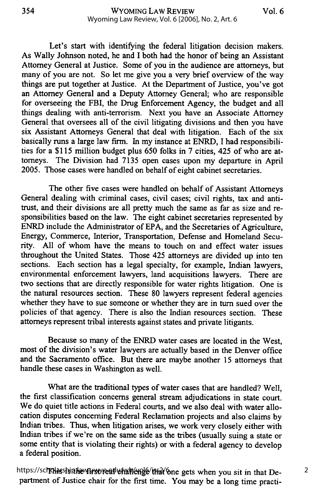354

Let's start with identifying the federal litigation decision makers. As Wally Johnson noted, he and I both had the honor of being an Assistant Attorney General at Justice. Some of you in the audience are attorneys, but many of you are not. So let me give you a very brief overview of the way things are put together at Justice. At the Department of Justice, you've got an Attorney General and a Deputy Attorney General; who are responsible for overseeing the FBI, the Drug Enforcement Agency, the budget and all things dealing with anti-terrorism. Next you have an Associate Attorney General that oversees all of the civil litigating divisions and then you have six Assistant Attorneys General that deal with litigation. Each of the six basically runs a large law firm. In my instance at ENRD, I had responsibilities for a \$115 million budget plus 650 folks in 7 cities, 425 of who are attorneys. The Division had 7135 open cases upon my departure in April 2005. Those cases were handled on behalf of eight cabinet secretaries.

The other five cases were handled on behalf of Assistant Attorneys General dealing with criminal cases, civil cases; civil rights, tax and antitrust, and their divisions are all pretty much the same as far as size and responsibilities based on the law. The eight cabinet secretaries represented by ENRD include the Administrator of EPA, and the Secretaries of Agriculture, Energy, Commerce, Interior, Transportation, Defense and Homeland Security. All of whom have the means to touch on and effect water issues throughout the United States. Those *425* attorneys are divided up into ten sections. Each section has a legal specialty, for example, Indian lawyers, environmental enforcement lawyers, land acquisitions lawyers. There are two sections that are directly responsible for water rights litigation. One is the natural resources section. These 80 lawyers represent federal agencies whether they have to sue someone or whether they are in turn sued over the policies of that agency. There is also the Indian resources section. These attorneys represent tribal interests against states and private litigants.

Because so many of the ENRD water cases are located in the West, most of the division's water lawyers are actually based in the Denver office and the Sacramento office. But there are maybe another 15 attorneys that handle these cases in Washington as well.

What are the traditional types of water cases that are handled? Well, the first classification concerns general stream adjudications in state court. We do quiet title actions in Federal courts, and we also deal with water allocation disputes concerning Federal Reclamation projects and also claims by Indian tribes. Thus, when litigation arises, we work very closely either with Indian tribes if we're on the same side as the tribes (usually suing a state or some entity that is violating their rights) or with a federal agency to develop a federal position.

https://schchasship.haw.Hrstvread whalue hede that one gets when you sit in that Department of Justice chair for the first time. You may be a long time practi-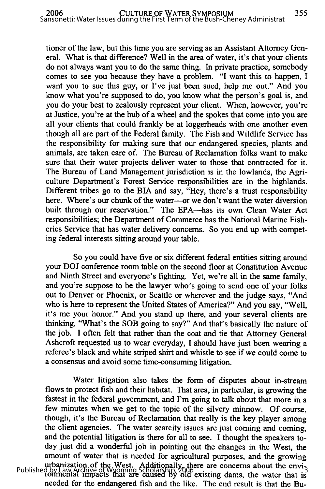tioner of the law, but this time you are serving as an Assistant Attorney General. What is that difference? Well in the area of water, it's that your clients do not always want you to do the same thing. In private practice, somebody comes to see you because they have a problem. "I want this to happen, I want you to sue this guy, or I've just been sued, help me out." And you know what you're supposed to do, you know what the person's goal is, and you do your best to zealously represent your client. When, however, you're at Justice, you're at the hub of a wheel and the spokes that come into you are all your clients that could frankly be at loggerheads with one another even though all are part of the Federal family. The Fish and Wildlife Service has the responsibility for making sure that our endangered species, plants and animals, are taken care of. The Bureau of Reclamation folks want to make sure that their water projects deliver water to those that contracted for it. The Bureau of Land Management jurisdiction is in the lowlands, the Agriculture Department's Forest Service responsibilities are in the highlands. Different tribes go to the BIA and say, "Hey, there's a trust responsibility here. Where's our chunk of the water----or we don't want the water diversion built through our reservation." The EPA-has its own Clean Water Act responsibilities; the Department of Commerce has the National Marine Fisheries Service that has water delivery concerns. So you end up with competing federal interests sitting around your table.

So you could have five or six different federal entities sitting around your DOJ conference room table on the second floor at Constitution Avenue and Ninth Street and everyone's fighting. Yet, we're all in the same family, and you're suppose to be the lawyer who's going to send one of your folks out to Denver or Phoenix, or Seattle or wherever and the judge says, "And who is here to represent the United States of America?" And you say, "Well, it's me your honor." And you stand up there, and your several clients are thinking, "What's the SOB going to say?" And that's basically the nature of the job. **I** often felt that rather than the coat and tie that Attorney General Ashcroft requested us to wear everyday, I should have just been wearing a referee's black and white striped shirt and whistle to see if we could come to a consensus and avoid some time-consuming litigation.

Water litigation also takes the form of disputes about in-stream flows to protect fish and their habitat. That area, in particular, is growing the fastest in the federal government, and I'm going to talk about that more in a few minutes when we get to the topic of the silvery minnow. Of course, though, it's the Bureau of Reclamation that really is the key player among the client agencies. The water scarcity issues are just coming and coming, and the potential litigation is there for all to see. I thought the speakers today just did a wonderful job in pointing out the changes in the West, the amount of water that is needed for agricultural purposes, and the growing urbanization of the West. Additionally, there are concerns about the envi-Published by Law Archive of Wyoming Scholarship, 2006<br>13 Tonmental impacts that are caused by old existing dams, the water that is needed for the endangered fish and the like. The end result is that the Bu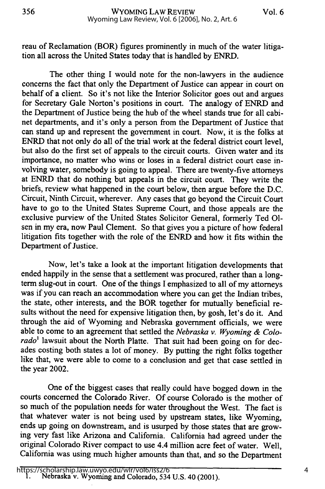reau of Reclamation (BOR) figures prominently in much of the water litigation all across the United States today that is handled by ENRD.

The other thing I would note for the non-lawyers in the audience concerns the fact that only the Department of Justice can appear in court on behalf of a client. So it's not like the Interior Solicitor goes out and argues for Secretary Gale Norton's positions in court. The analogy of ENRD and the Department of Justice being the hub of the wheel stands true for all cabinet departments, and it's only a person from the Department of Justice that can stand up and represent the government in court. Now, it is the folks at ENRD that not only do all of the trial work at the federal district court level, but also do the first set of appeals to the circuit courts. Given water and its importance, no matter who wins or loses in a federal district court case involving water, somebody is going to appeal. There are twenty-five attorneys at ENRD that do nothing but appeals in the circuit court. They write the briefs, review what happened in the court below, then argue before the D.C. Circuit, Ninth Circuit, wherever. Any cases that go beyond the Circuit Court have to go to the United States Supreme Court, and those appeals are the exclusive purview of the United States Solicitor General, formerly Ted **Ol**sen in my era, now Paul Clement. So that gives you a picture of how federal litigation fits together with the role of the ENRD and how it fits within the Department of Justice.

Now, let's take a look at the important litigation developments that ended happily in the sense that a settlement was procured, rather than a longterm slug-out in court. One of the things I emphasized to all of my attorneys was if you can reach an accommodation where you can get the Indian tribes, the state, other interests, and the BOR together for mutually beneficial results without the need for expensive litigation then, by gosh, let's do it. And through the aid of Wyoming and Nebraska government officials, we were able to come to an agreement that settled the *Nebraska v. Wyoming & Colo*rado<sup>1</sup> lawsuit about the North Platte. That suit had been going on for decades costing both states a lot of money. By putting the right folks together like that, we were able to come to a conclusion and get that case settled in the year 2002.

One of the biggest cases that really could have bogged down in the courts concerned the Colorado River. Of course Colorado is the mother of so much of the population needs for water throughout the West. The fact is that whatever water is not being used by upstream states, like Wyoming, ends up going on downstream, and is usurped by those states that are growing very fast like Arizona and California. California had agreed under the original Colorado River compact to use 4.4 million acre feet of water. Well, California was using much higher amounts than that, and so the Department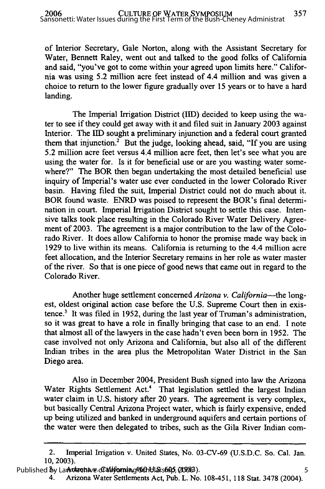of Interior Secretary, Gale Norton, along with the Assistant Secretary for Water, Bennett Raley, went out and talked to the good folks of California and said, "you've got to come within your agreed upon limits here." California was using 5.2 million acre feet instead of 4.4 million and was given a choice to return to the lower figure gradually over 15 years or to have a hard landing.

The Imperial Irrigation District (IID) decided to keep using the water to see if they could get away with it and filed suit in January 2003 against Interior. The **IID** sought a preliminary injunction and a federal court granted them that injunction.<sup>2</sup> But the judge, looking ahead, said, "If you are using 5.2 million acre feet versus 4.4 million acre feet, then let's see what you are using the water for. Is it for beneficial use or are you wasting water somewhere?" The BOR then began undertaking the most detailed beneficial use inquiry of Imperial's water use ever conducted in the lower Colorado River basin. Having filed the suit, Imperial District could not do much about it. BOR found waste. ENRD was poised to represent the BOR's final determination in court. Imperial Irrigation District sought to settle this case. Intensive talks took place resulting in the Colorado River Water Delivery Agreement of 2003. The agreement is a major contribution to the law of the Colorado River. It does allow California to honor the promise made way back in 1929 to live within its means. California is returning to the 4.4 million acre feet allocation, and the Interior Secretary remains in her role as water master of the river. So that is one piece of good news that came out in regard to the Colorado River.

Another huge settlement concerned *Arizona v. California-the* longest, oldest original action case before the U.S. Supreme Court then in existence.3 It was filed in 1952, during the last year of Truman's administration, so it was great to have a role in finally bringing that case to an end. I note that almost all of the lawyers in the case hadn't even been born in 1952. The case involved not only Arizona and California, but also all of the different Indian tribes in the area plus the Metropolitan Water District in the San Diego area.

Also in December 2004, President Bush signed into law the Arizona Water Rights Settlement Act.<sup>4</sup> That legislation settled the largest Indian water claim in U.S. history after 20 years. The agreement is very complex, but basically Central Arizona Project water, which is fairly expensive, ended up being utilized and banked in underground aquifers and certain portions of the water were then delegated to tribes, such as the Gila River Indian com-

<sup>2.</sup> Imperial Irrigation v. United States, No. 03-CV-69 (U.S.D.C. So. Cal. Jan. 10, 2003).

Published by Law Mazonave Grall forming 456h Ularship, 20083)

<sup>4.</sup> Arizona Water Settlements Act, Pub. L. No. 108-451, 118 Stat. 3478 (2004).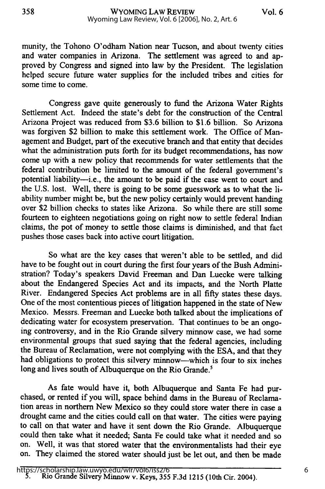358

munity, the Tohono O'odham Nation near Tucson, and about twenty cities and water companies in Arizona. The settlement was agreed to and **ap**proved **by** Congress and signed into law **by** the President. The legislation helped secure future water supplies for the included tribes and cities for some time to come.

Congress gave quite generously to fund the Arizona Water Rights Settlement Act. Indeed the state's debt for the construction of the Central Arizona Project was reduced from **\$3.6** billion to **\$1.6** billion. So Arizona was forgiven \$2 billion to make this settlement work. The Office of Management and Budget, part of the executive branch and that entity that decides what the administration puts forth for its budget recommendations, has now come up with a new policy that recommends for water settlements that the federal contribution be limited to the amount of the federal government's potential liability-i.e., the amount to be paid if the case went to court and the **U.S.** lost. Well, there is going to be some guesswork as to what the liability number might be, but the new policy certainly would prevent handing over \$2 billion checks to states like Arizona. So while there are still some fourteen to eighteen negotiations going on right now to settle federal Indian claims, the pot of money to settle those claims is diminished, and that fact pushes those cases back into active court litigation.

So what are the key cases that weren't able to be settled, and did have to be fought out in court during the first four years of the Bush Administration? Today's speakers David Freeman and Dan Luecke were talking about the Endangered Species Act and its impacts, and the North Platte River. Endangered Species Act problems are in all fifty states these days. One of the most contentious pieces of litigation happened in the state of New Mexico. Messrs. Freeman and Luecke both talked about the implications of dedicating water for ecosystem preservation. That continues to be an ongoing controversy, and in the Rio Grande silvery minnow case, we had some environmental groups that sued saying that the federal agencies, including the Bureau of Reclamation, were not complying with the **ESA,** and that they had obligations to protect this silvery minnow-which is four to six inches long and lives south of Albuquerque on the Rio Grande.<sup>5</sup>

As fate would have it, both Albuquerque and Santa Fe had purchased, or rented if you will, space behind dams in the Bureau of Reclamation areas in northern New Mexico so they could store water there in case a drought came and the cities could call on that water. The cities were paying to call on that water and have it sent down the Rio Grande. Albuquerque could then take what it needed; Santa Fe could take what it needed and so on. Well, it was that stored water that the environmentalists had their eye on. They claimed the stored water should just be let out, and then be made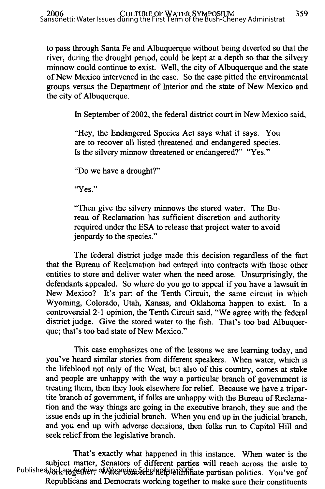to pass through Santa Fe and Albuquerque without being diverted so that the river, during the drought period, could be kept at a depth so that the silvery minnow could continue to exist. Well, the city of Albuquerque and the state of New Mexico intervened in the case. So the case pitted the environmental groups versus the Department of Interior and the state of New Mexico and the city of Albuquerque.

In September of 2002, the federal district court in New Mexico said,

"Hey, the Endangered Species Act says what it says. You are to recover all listed threatened and endangered species. Is the silvery minnow threatened or endangered?" "Yes."

"Do we have a drought?"

"Yes."

"Then give the silvery minnows the stored water. The Bureau of Reclamation has sufficient discretion and authority required under the ESA to release that project water to avoid jeopardy to the species."

The federal district judge made this decision regardless of the fact that the Bureau of Reclamation had entered into contracts with those other entities to store and deliver water when the need arose. Unsurprisingly, the defendants appealed. So where do you go to appeal if you have a lawsuit in New Mexico? It's part of the Tenth Circuit, the same circuit in which Wyoming, Colorado, Utah, Kansas, and Oklahoma happen to exist. In a controversial 2-1 opinion, the Tenth Circuit said, "We agree with the federal district judge. Give the stored water to the fish. That's too bad Albuquerque; that's too bad state of New Mexico."

This case emphasizes one of the lessons we are learning today, and you've heard similar stories from different speakers. When water, which is the lifeblood not only of the West, but also of this country, comes at stake and people are unhappy with the way a particular branch of government is treating them, then they look elsewhere for relief. Because we have a tripartite branch of government, if folks are unhappy with the Bureau of Reclamation and the way things are going in the executive branch, they sue and the issue ends up in the judicial branch. When you end up in the judicial branch, and you end up with adverse decisions, then folks run to Capitol Hill and seek relief from the legislative branch.

That's exactly what happened in this instance. When water is the subject matter, Senators of different parties will reach across the aisle to Published by kanget there of Wherein carbe help blinn hate partisan politics. You've got Republicans and Democrats working together to make sure their constituents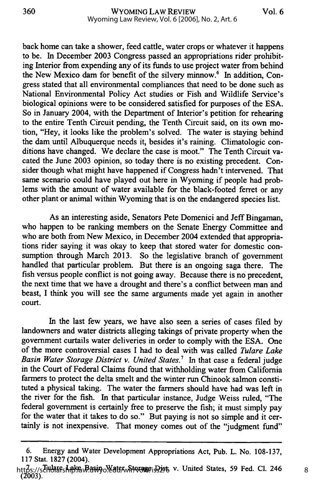back home can take a shower, feed cattle, water crops or whatever it happens to be. In December 2003 Congress passed an appropriations rider prohibiting Interior from expending any of its funds to use project water from behind the New Mexico dam for benefit of the silvery minnow.<sup>6</sup> In addition, Congress stated that all environmental compliances that need to be done such as National Environmental Policy Act studies or Fish and Wildlife Service's biological opinions were to be considered satisfied for purposes of the ESA. So in January 2004, with the Department of Interior's petition for rehearing to the entire Tenth Circuit pending, the Tenth Circuit said, on its own motion, "Hey, it looks like the problem's solved. The water is staying behind the dam until Albuquerque needs it, besides it's raining. Climatologic conditions have changed. We declare the case is moot." The Tenth Circuit vacated the June **2003** opinion, so today there is no existing precedent. Consider though what might have happened if Congress hadn't intervened. That same scenario could have played out here in Wyoming if people had problems with the amount of water available for the black-footed ferret or any other plant or animal within Wyoming that is on the endangered species list.

As an interesting aside, Senators Pete Domenici and Jeff Bingaman, who happen to be ranking members on the Senate Energy Committee and who are both from New Mexico, in December 2004 extended that appropriations rider saying it was okay to keep that stored water for domestic consumption through March **2013.** So the legislative branch of government handled that particular problem. But there is an ongoing saga there. The fish versus people conflict is not going away. Because there is no precedent, the next time that we have a drought and there's a conflict between man and beast, **I** think you will see the same arguments made yet again in another court.

In the last few years, we have also seen a series of cases filed **by** landowners and water districts alleging takings of private property when the government curtails water deliveries in order to comply with the **ESA.** One of the more controversial cases I had to deal with was called *Tulare Lake Basin Water Storage District v. United States.7* In that case a federal judge in the Court of Federal Claims found that withholding water from California farmers to protect the delta smelt and the winter run Chinook salmon constituted a physical taking. The water the farmers should have had was left in the river for the fish. In that particular instance, Judge Weiss ruled, "The federal government is certainly free to preserve the fish; it must simply pay for the water that it takes to do so." But paying is not so simple and it certainly is not inexpensive. That money comes out of the "judgment **fund"**

**<sup>6.</sup>** Energy and Water Development Appropriations Act, Pub. L. No. **108-137, 117** Stat. **1827** (2004).

https://schuareshake.wasin.ol/arter Storage; 3286 v. United States, 59 Fed. Cl. 246 **(2003).**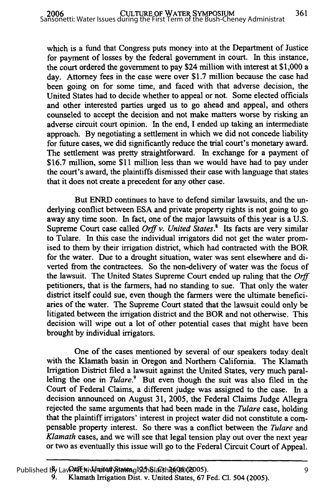which is a fund that Congress puts money into at the Department of Justice for payment of losses by the federal government in court. In this instance, the court ordered the government to pay \$24 million with interest at \$1,000 a day. Attorney fees in the case were over \$1.7 million because the case had been going on for some time, and faced with that adverse decision, the United States had to decide whether to appeal or not. Some elected officials and other interested parties urged us to go ahead and appeal, and others counseled to accept the decision and not make matters worse **by** risking an adverse circuit court opinion. In the end, I ended up taking an intermediate approach. By negotiating a settlement in which we did not concede liability for future cases, we did significantly reduce the trial court's monetary award. The settlement was pretty straightforward. In exchange for a payment of \$16.7 million, some **\$11** million less than we would have had to pay under the court's award, the plaintiffs dismissed their case with language that states that it does not create a precedent for any other case.

But ENRD continues to have to defend similar lawsuits, and the underlying conflict between ESA and private property rights is not going to go away any time soon. In fact, one of the major lawsuits of this year is a U.S. Supreme Court case called *Orif v. United States.8* Its facts are very similar to Tulare. In this case the individual irrigators did not get the water promised to them by their irrigation district, which had contracted with the BOR for the water. Due to a drought situation, water was sent elsewhere and diverted from the contractees. So the non-delivery of water was the focus of the lawsuit. The United States Supreme Court ended up ruling that the *Orff* petitioners, that is the farmers, had no standing to sue. That only the water district itself could sue, even though the farmers were the ultimate beneficiaries of the water. The Supreme Court stated that the lawsuit could only be litigated between the irrigation district and the BOR and not otherwise. This decision will wipe out a lot of other potential cases that might have been brought by individual irrigators.

One of the cases mentioned by several of our speakers today dealt with the Klamath basin in Oregon and Northern California. The Klamath Irrigation District filed a lawsuit against the United States, very much paralleling the one in *Tulare.*<sup>9</sup> But even though the suit was also filed in the Court of Federal Claims, a different judge was assigned to the case. In a decision announced on August 31, 2005, the Federal Claims Judge Allegra rejected the same arguments that had been made in the *Tulare* case, holding that the plaintiff irrigators' interest in project water did not constitute a compensable property interest. So there was a conflict between the *Tulare* and *Klamath* cases, and we will see that legal tension play out over the next year or two as eventually this issue will go to the Federal Circuit Court of Appeal.

**<sup>9.</sup>** Klamath Irrigation Dist. v. United States, **67** Fed. **Cl.** 504 **(2005).**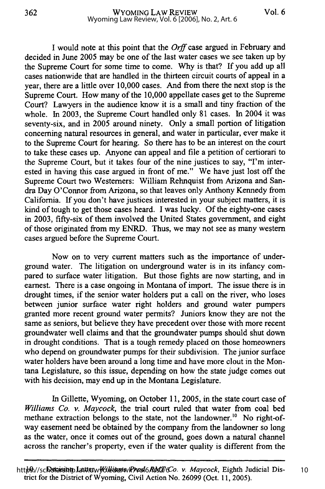**I** would note at this point that the *Orff* case argued in February and decided in June **2005** may be one of the last water cases we see taken up **by** the Supreme Court for some time to come. **Why** is that? **If** you add up all cases nationwide that are handled in the thirteen circuit courts of appeal in a year, there are a little over **10,000** cases. And from there the next stop is the Supreme Court. How many of the **10,000** appellate cases get to the Supreme Court? Lawyers in the audience know it is a small and tiny fraction of the whole. In **2003,** the Supreme Court handled only **81** cases. In 2004 it was seventy-six, and in **2005** around ninety. Only a small portion of litigation concerning natural resources in general, and water in particular, ever make it to the Supreme Court for hearing. So there has to be an interest on the court to take these cases up. Anyone can appeal and file a petition of certiorari to the Supreme Court, but it takes four of the nine justices to say, "I'm interested in having this case argued in front of me." We have just lost off the Supreme Court two Westerners: William Rehnquist from Arizona and Sandra Day O'Connor from Arizona, so that leaves only Anthony Kennedy from California. **If** you don't have justices interested in your subject matters, it is kind of tough to get those cases heard. **I** was lucky. **Of** the eighty-one cases in **2003,** fifty-six of them involved the United States government, and eight of those originated from my ENRD. Thus, we may not see as many western cases argued before the Supreme Court.

Now on to very current matters such as the importance of underground water. The litigation on underground water is in its infancy compared to surface water litigation. But those fights are now starting, and in earnest. There is a case ongoing in Montana of import. The issue there is in drought times, if the senior water holders put a call on the river, who loses between junior surface water right holders and ground water pumpers granted more recent ground water permits? Juniors know they are not the same as seniors, but believe they have precedent over those with more recent groundwater well claims and that the groundwater pumps should shut down in drought conditions. That is a tough remedy placed on those homeowners who depend on groundwater pumps for their subdivision. The junior surface water holders have been around a long time and have more clout in the Montana Legislature, so this issue, depending on how the state judge comes out with his decision, may end up in the Montana Legislature.

In Gillette, Wyoming, on October **11, 2005,** in the state court case of *Williams Co. v. Maycock,* the trial court ruled that water from coal bed methane extraction belongs to the state, not the landowner.<sup>10</sup> No right-ofway easement need be obtained **by** the company from the landowner so long as the water, once it comes out of the ground, goes down a natural channel across the rancher's property, even if the water quality is different from the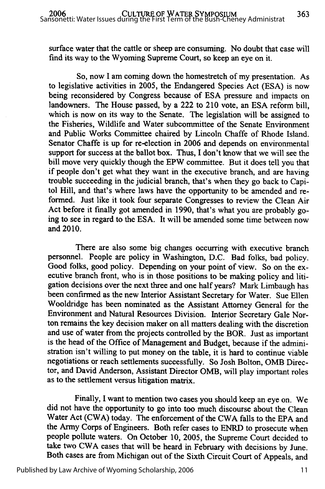surface water that the cattle or sheep are consuming. No doubt that case will find its way to the Wyoming Supreme Court, so keep an eye on it.

So, now I am coming down the homestretch of my presentation. As to legislative activities in 2005, the Endangered Species Act (ESA) is now being reconsidered by Congress because of ESA pressure and impacts on landowners. The House passed, by a 222 to 210 vote, an ESA reform bill, which is now on its way to the Senate. The legislation will be assigned to the Fisheries, Wildlife and Water subcommittee of the Senate Environment and Public Works Committee chaired by Lincoln Chaffe of Rhode Island. Senator Chaffe is up for re-election in 2006 and depends on environmental support for success at the ballot box. Thus, I don't know that we will see the bill move very quickly though the EPW committee. But it does tell you that if people don't get what they want in the executive branch, and are having trouble succeeding in the judicial branch, that's when they go back to Capitol Hill, and that's where laws have the opportunity to be amended and reformed. Just like it took four separate Congresses to review the Clean Air Act before it finally got amended in 1990, that's what you are probably going to see in regard to the ESA. It will be amended some time between now and 2010.

There are also some big changes occurring with executive branch personnel. People are policy in Washington, D.C. Bad folks, bad policy. Good folks, good policy. Depending on your point of view. So on the executive branch front, who is in those positions to be making policy and litigation decisions over the next three and one half years? Mark Limbaugh has been confirmed as the new Interior Assistant Secretary for Water. Sue Ellen Wooldridge has been nominated as the Assistant Attorney General for the Environment and Natural Resources Division. Interior Secretary Gale Norton remains the key decision maker on all matters dealing with the discretion and use of water from the projects controlled by the BOR. Just as important is the head of the Office of Management and Budget, because if the administration isn't willing to put money on the table, it is hard to continue viable negotiations or reach settlements successfully. So Josh Bolton, OMB Director, and David Anderson, Assistant Director OMB, will play important roles as to the settlement versus litigation matrix.

Finally, I want to mention two cases you should keep an eye on. We did not have the opportunity to go into too much discourse about the Clean Water Act (CWA) today. The enforcement of the CWA falls to the EPA and the Army Corps of Engineers. Both refer cases to ENRD to prosecute when people pollute waters. On October 10, 2005, the Supreme Court decided to take two CWA cases that will be heard in February with decisions by June. Both cases are from Michigan out of the Sixth Circuit Court of Appeals, and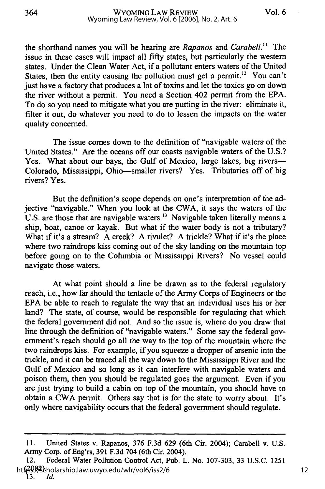the shorthand names you will be hearing are *Rapanos* and *Carabell." The* issue in these cases will impact all **fifty** states, but particularly the western states. Under the Clean Water Act, if a pollutant enters waters of the United States, then the entity causing the pollution must get a permit.<sup>12</sup> You can't just have a factory that produces a lot of toxins and let the toxics go on down the river without a permit. You need a Section 402 permit from the **EPA.** To do so you need to mitigate what you are putting in the river: eliminate it, filter it out, do whatever you need to do to lessen the impacts on the water quality concerned.

The issue comes down to the definition of "navigable waters of the United States." Are the oceans off our coasts navigable waters of the U.S.? Yes. What about our bays, the Gulf of Mexico, large lakes, big rivers-Colorado, Mississippi, Ohio-smaller rivers? Yes. Tributaries off of big rivers? Yes.

But the definition's scope depends on one's interpretation of the adjective "navigable." When you look at the CWA, it says the waters of the U.S. are those that are navigable waters.<sup>13</sup> Navigable taken literally means a ship, boat, canoe or kayak. But what if the water body is not a tributary? What if it's a stream? A creek? A rivulet? A trickle? What if it's the place where two raindrops kiss coming out of the sky landing on the mountain top before going on to the Columbia or Mississippi Rivers? No vessel could navigate those waters.

At what point should a line be drawn as to the federal regulatory reach, i.e., how far should the tentacle of the Army Corps of Engineers or the EPA be able to reach to regulate the way that an individual uses his or her land? The state, of course, would be responsible for regulating that which the federal government did not. And so the issue is, where do you draw that line through the definition of "navigable waters." Some say the federal government's reach should go all the way to the top of the mountain where the two raindrops kiss. For example, if you squeeze a dropper of arsenic into the trickle, and it can be traced all the way down to the Mississippi River and the Gulf of Mexico and so long as it can interfere with navigable waters and poison them, then you should be regulated goes the argument. Even if you are just trying to build a cabin on top of the mountain, you should have to obtain a CWA permit. Others say that is for the state to worry about. It's only where navigability occurs that the federal government should regulate.

<sup>11.</sup> United States v. Rapanos, 376 F.3d 629 (6th Cir. 2004); Carabell v. U.S. Army Corp. of Eng'rs, 391 F.3d 704 (6th Cir. 2004).

<sup>12.</sup> Federal Water Pollution Control Act, Pub. L. No. 107-303, 33 U.S.C. 1251 htf<sup>39,94</sup>%.holarship.law.uwyo.edu/wlr/vol6/iss2/6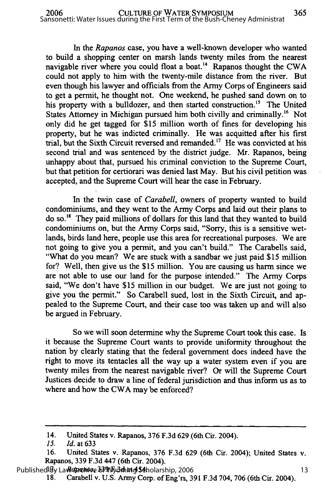In the *Rapanos* case, you have a well-known developer who wanted to build a shopping center on marsh lands twenty miles from the nearest navigable river where you could float a boat.<sup>14</sup> Rapanos thought the CWA could not apply to him with the twenty-mile distance from the river. But even though his lawyer and officials from the Army Corps of Engineers said to get a permit, he thought not. One weekend, he pushed sand down on to his property with a bulldozer, and then started construction.<sup>15</sup> The United States Attorney in Michigan pursued him both civilly and criminally.<sup>16</sup> Not only did he get tagged for **\$15** million worth of fines for developing his property, but he was indicted criminally. He was acquitted after his first trial, but the Sixth Circuit reversed and remanded.<sup>17</sup> He was convicted at his second trial and was sentenced **by** the district judge. Mr. Rapanos, being unhappy about that, pursued his criminal conviction to the Supreme Court, but that petition for certiorari was denied last May. But his civil petition was accepted, and the Supreme Court will hear the case in February.

In the twin case of *Carabell,* owners of property wanted to build condominiums, and they went to the Army Corps and laid out their plans to do so.<sup>18</sup> They paid millions of dollars for this land that they wanted to build condominiums on, but the Army Corps said, "Sorry, this is a sensitive wetlands, birds land here, people use this area for recreational purposes. We are not going to give you a permit, and you can't build." The Carabells said, "What do you mean? We are stuck with a sandbar we just paid **\$15** million for? Well, then give us the **\$15** million. You are causing us harm since we are not able to use our land for the purpose intended." The Army Corps said, "We don't have **\$15** million in our budget. We are just not going to give you the permit." So Carabell sued, lost in the Sixth Circuit, and appealed to the Supreme Court, and their case too was taken up and will also be argued in February.

So we will soon determine why the Supreme Court took this case. Is it because the Supreme Court wants to provide uniformity throughout the nation **by** clearly stating that the federal government does indeed have the right to move its tentacles all the way up a water system even if you are twenty miles from the nearest navigable river? Or will the Supreme Court Justices decide to draw a line of federal jurisdiction and thus inform us as to where and how the CWA may be enforced?

Published By Law *Aproto Stells, 33*9 Product of Scholarship, 2006

<sup>14.</sup> United States v. Rapanos, **376 F.3d 629** (6th Cir. 2004).

*<sup>15.</sup> Id.* at **633**

**<sup>16.</sup>** United States v. Rapanos, **376 F.3d 629** (6th Cir. 2004); United States v. Rapanos, **339 F.3d** 447 (6th Cir. 2004).

**<sup>18.</sup>** Carabell v. **U.S.** Army Corp. of Eng'rs, **391 F.3d** 704, **706** (6th Cir. 2004).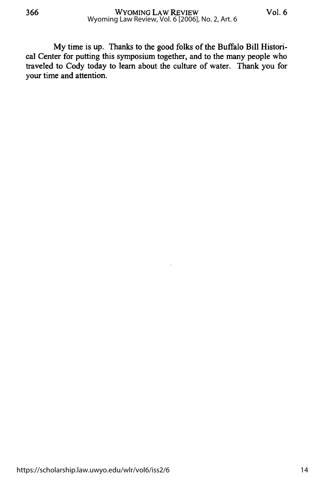My time is up. Thanks to the good folks of the Buffalo Bill Historical Center for putting this symposium together, and to the many people who traveled to Cody today to learn about the culture of water. Thank you for your time and attention.